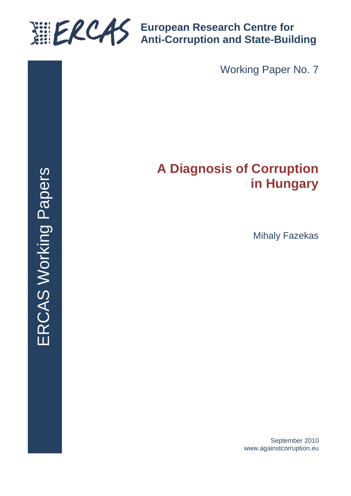

**European Research Centre for Anti-Corruption and State-Building**

Working Paper No. 7

# **A Diagnosis of Corruption in Hungary**

Mihaly Fazekas

September 2010 www.againstcorruption.eu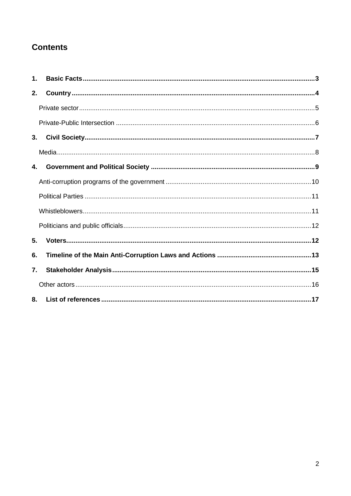# **Contents**

| $\mathbf{1}$ . |  |
|----------------|--|
| 2.             |  |
|                |  |
|                |  |
| 3.             |  |
|                |  |
| 4.             |  |
|                |  |
|                |  |
|                |  |
|                |  |
| 5.             |  |
| 6.             |  |
| 7.             |  |
|                |  |
| 8.             |  |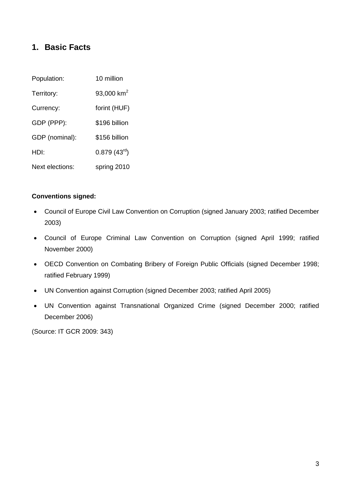## <span id="page-2-0"></span>**1. Basic Facts**

| Population:     | 10 million       |  |
|-----------------|------------------|--|
| Territory:      | 93,000 $km^2$    |  |
| Currency:       | forint (HUF)     |  |
| GDP (PPP):      | \$196 billion    |  |
| GDP (nominal):  | \$156 billion    |  |
| HDI:            | $0.879(43^{rd})$ |  |
| Next elections: | spring 2010      |  |

#### **Conventions signed:**

- Council of Europe Civil Law Convention on Corruption (signed January 2003; ratified December 2003)
- Council of Europe Criminal Law Convention on Corruption (signed April 1999; ratified November 2000)
- OECD Convention on Combating Bribery of Foreign Public Officials (signed December 1998; ratified February 1999)
- UN Convention against Corruption (signed December 2003; ratified April 2005)
- UN Convention against Transnational Organized Crime (signed December 2000; ratified December 2006)

(Source: IT GCR 2009: 343)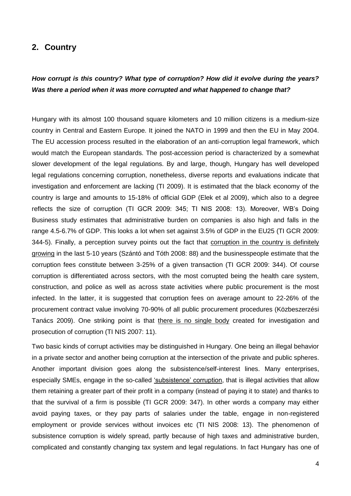#### <span id="page-3-0"></span>**2. Country**

## *How corrupt is this country? What type of corruption? How did it evolve during the years? Was there a period when it was more corrupted and what happened to change that?*

Hungary with its almost 100 thousand square kilometers and 10 million citizens is a medium-size country in Central and Eastern Europe. It joined the NATO in 1999 and then the EU in May 2004. The EU accession process resulted in the elaboration of an anti-corruption legal framework, which would match the European standards. The post-accession period is characterized by a somewhat slower development of the legal regulations. By and large, though, Hungary has well developed legal regulations concerning corruption, nonetheless, diverse reports and evaluations indicate that investigation and enforcement are lacking (TI 2009). It is estimated that the black economy of the country is large and amounts to 15-18% of official GDP (Elek et al 2009), which also to a degree reflects the size of corruption (TI GCR 2009: 345; TI NIS 2008: 13). Moreover, WB's Doing Business study estimates that administrative burden on companies is also high and falls in the range 4.5-6.7% of GDP. This looks a lot when set against 3.5% of GDP in the EU25 (TI GCR 2009: 344-5). Finally, a perception survey points out the fact that corruption in the country is definitely growing in the last 5-10 years (Szántó and Tóth 2008: 88) and the businesspeople estimate that the corruption fees constitute between 3-25% of a given transaction (TI GCR 2009: 344). Of course corruption is differentiated across sectors, with the most corrupted being the health care system, construction, and police as well as across state activities where public procurement is the most infected. In the latter, it is suggested that corruption fees on average amount to 22-26% of the procurement contract value involving 70-90% of all public procurement procedures (Közbeszerzési Tanács 2009). One striking point is that there is no single body created for investigation and prosecution of corruption (TI NIS 2007: 11).

Two basic kinds of corrupt activities may be distinguished in Hungary. One being an illegal behavior in a private sector and another being corruption at the intersection of the private and public spheres. Another important division goes along the subsistence/self-interest lines. Many enterprises, especially SMEs, engage in the so-called 'subsistence' corruption, that is illegal activities that allow them retaining a greater part of their profit in a company (instead of paying it to state) and thanks to that the survival of a firm is possible (TI GCR 2009: 347). In other words a company may either avoid paying taxes, or they pay parts of salaries under the table, engage in non-registered employment or provide services without invoices etc (TI NIS 2008: 13). The phenomenon of subsistence corruption is widely spread, partly because of high taxes and administrative burden, complicated and constantly changing tax system and legal regulations. In fact Hungary has one of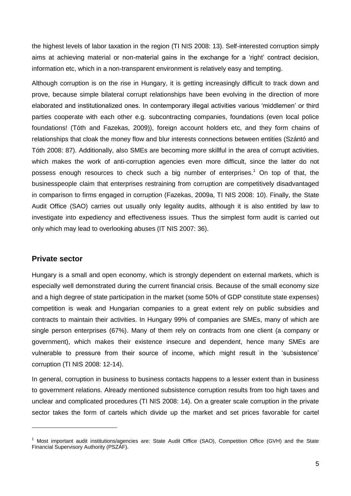the highest levels of labor taxation in the region (TI NIS 2008: 13). Self-interested corruption simply aims at achieving material or non-material gains in the exchange for a 'right' contract decision, information etc, which in a non-transparent environment is relatively easy and tempting.

Although corruption is on the rise in Hungary, it is getting increasingly difficult to track down and prove, because simple bilateral corrupt relationships have been evolving in the direction of more elaborated and institutionalized ones. In contemporary illegal activities various 'middlemen' or third parties cooperate with each other e.g. subcontracting companies, foundations (even local police foundations! (Tóth and Fazekas, 2009)), foreign account holders etc, and they form chains of relationships that cloak the money flow and blur interests connections between entities (Szántó and Tóth 2008: 87). Additionally, also SMEs are becoming more skillful in the area of corrupt activities, which makes the work of anti-corruption agencies even more difficult, since the latter do not possess enough resources to check such a big number of enterprises.<sup>1</sup> On top of that, the businesspeople claim that enterprises restraining from corruption are competitively disadvantaged in comparison to firms engaged in corruption (Fazekas, 2009a, TI NIS 2008: 10). Finally, the State Audit Office (SAO) carries out usually only legality audits, although it is also entitled by law to investigate into expediency and effectiveness issues. Thus the simplest form audit is carried out only which may lead to overlooking abuses (IT NIS 2007: 36).

#### <span id="page-4-0"></span>**Private sector**

-

Hungary is a small and open economy, which is strongly dependent on external markets, which is especially well demonstrated during the current financial crisis. Because of the small economy size and a high degree of state participation in the market (some 50% of GDP constitute state expenses) competition is weak and Hungarian companies to a great extent rely on public subsidies and contracts to maintain their activities. In Hungary 99% of companies are SMEs, many of which are single person enterprises (67%). Many of them rely on contracts from one client (a company or government), which makes their existence insecure and dependent, hence many SMEs are vulnerable to pressure from their source of income, which might result in the 'subsistence' corruption (TI NIS 2008: 12-14).

In general, corruption in business to business contacts happens to a lesser extent than in business to government relations. Already mentioned subsistence corruption results from too high taxes and unclear and complicated procedures (TI NIS 2008: 14). On a greater scale corruption in the private sector takes the form of cartels which divide up the market and set prices favorable for cartel

<sup>&</sup>lt;sup>1</sup> Most important audit institutions/agencies are: State Audit Office (SAO), Competition Office (GVH) and the State Financial Supervisory Authority (PSZÁF).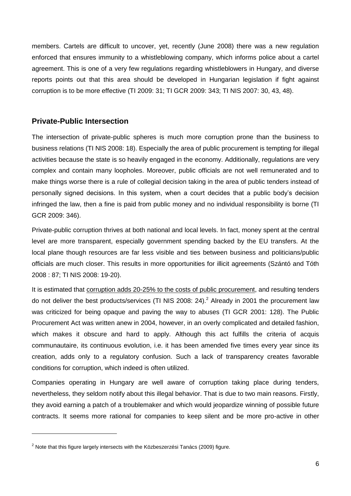members. Cartels are difficult to uncover, yet, recently (June 2008) there was a new regulation enforced that ensures immunity to a whistleblowing company, which informs police about a cartel agreement. This is one of a very few regulations regarding whistleblowers in Hungary, and diverse reports points out that this area should be developed in Hungarian legislation if fight against corruption is to be more effective (TI 2009: 31; TI GCR 2009: 343; TI NIS 2007: 30, 43, 48).

#### <span id="page-5-0"></span>**Private-Public Intersection**

The intersection of private-public spheres is much more corruption prone than the business to business relations (TI NIS 2008: 18). Especially the area of public procurement is tempting for illegal activities because the state is so heavily engaged in the economy. Additionally, regulations are very complex and contain many loopholes. Moreover, public officials are not well remunerated and to make things worse there is a rule of collegial decision taking in the area of public tenders instead of personally signed decisions. In this system, when a court decides that a public body's decision infringed the law, then a fine is paid from public money and no individual responsibility is borne (TI GCR 2009: 346).

Private-public corruption thrives at both national and local levels. In fact, money spent at the central level are more transparent, especially government spending backed by the EU transfers. At the local plane though resources are far less visible and ties between business and politicians/public officials are much closer. This results in more opportunities for illicit agreements (Szántó and Tóth 2008 : 87; TI NIS 2008: 19-20).

It is estimated that corruption adds 20-25% to the costs of public procurement, and resulting tenders do not deliver the best products/services (TI NIS 2008: 24).<sup>2</sup> Already in 2001 the procurement law was criticized for being opaque and paving the way to abuses (TI GCR 2001: 128). The Public Procurement Act was written anew in 2004, however, in an overly complicated and detailed fashion, which makes it obscure and hard to apply. Although this act fulfills the criteria of acquis communautaire, its continuous evolution, i.e. it has been amended five times every year since its creation, adds only to a regulatory confusion. Such a lack of transparency creates favorable conditions for corruption, which indeed is often utilized.

Companies operating in Hungary are well aware of corruption taking place during tenders, nevertheless, they seldom notify about this illegal behavior. That is due to two main reasons. Firstly, they avoid earning a patch of a troublemaker and which would jeopardize winning of possible future contracts. It seems more rational for companies to keep silent and be more pro-active in other

-

 $2$  Note that this figure largely intersects with the Közbeszerzési Tanács (2009) figure.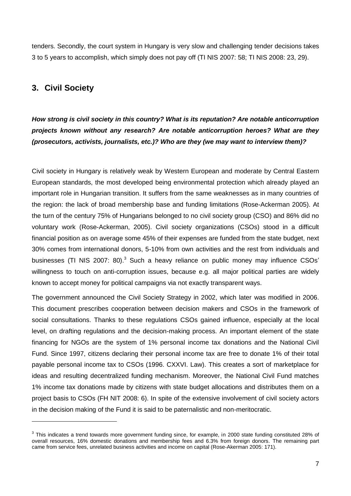tenders. Secondly, the court system in Hungary is very slow and challenging tender decisions takes 3 to 5 years to accomplish, which simply does not pay off (TI NIS 2007: 58; TI NIS 2008: 23, 29).

## <span id="page-6-0"></span>**3. Civil Society**

-

*How strong is civil society in this country? What is its reputation? Are notable anticorruption projects known without any research? Are notable anticorruption heroes? What are they (prosecutors, activists, journalists, etc.)? Who are they (we may want to interview them)?*

Civil society in Hungary is relatively weak by Western European and moderate by Central Eastern European standards, the most developed being environmental protection which already played an important role in Hungarian transition. It suffers from the same weaknesses as in many countries of the region: the lack of broad membership base and funding limitations (Rose-Ackerman 2005). At the turn of the century 75% of Hungarians belonged to no civil society group (CSO) and 86% did no voluntary work (Rose-Ackerman, 2005). Civil society organizations (CSOs) stood in a difficult financial position as on average some 45% of their expenses are funded from the state budget, next 30% comes from international donors, 5-10% from own activities and the rest from individuals and businesses (TI NIS 2007: 80).<sup>3</sup> Such a heavy reliance on public money may influence CSOs' willingness to touch on anti-corruption issues, because e.g. all major political parties are widely known to accept money for political campaigns via not exactly transparent ways.

The government announced the Civil Society Strategy in 2002, which later was modified in 2006. This document prescribes cooperation between decision makers and CSOs in the framework of social consultations. Thanks to these regulations CSOs gained influence, especially at the local level, on drafting regulations and the decision-making process. An important element of the state financing for NGOs are the system of 1% personal income tax donations and the National Civil Fund. Since 1997, citizens declaring their personal income tax are free to donate 1% of their total payable personal income tax to CSOs (1996. CXXVI. Law). This creates a sort of marketplace for ideas and resulting decentralized funding mechanism. Moreover, the National Civil Fund matches 1% income tax donations made by citizens with state budget allocations and distributes them on a project basis to CSOs (FH NIT 2008: 6). In spite of the extensive involvement of civil society actors in the decision making of the Fund it is said to be paternalistic and non-meritocratic.

 $3$  This indicates a trend towards more government funding since, for example, in 2000 state funding constituted 28% of overall resources, 16% domestic donations and membership fees and 6.3% from foreign donors. The remaining part came from service fees, unrelated business activities and income on capital (Rose-Akerman 2005: 171).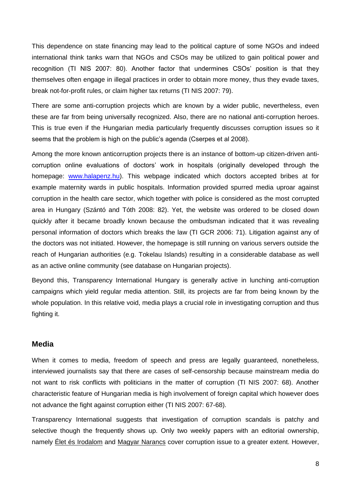This dependence on state financing may lead to the political capture of some NGOs and indeed international think tanks warn that NGOs and CSOs may be utilized to gain political power and recognition (TI NIS 2007: 80). Another factor that undermines CSOs' position is that they themselves often engage in illegal practices in order to obtain more money, thus they evade taxes, break not-for-profit rules, or claim higher tax returns (TI NIS 2007: 79).

There are some anti-corruption projects which are known by a wider public, nevertheless, even these are far from being universally recognized. Also, there are no national anti-corruption heroes. This is true even if the Hungarian media particularly frequently discusses corruption issues so it seems that the problem is high on the public's agenda (Cserpes et al 2008).

Among the more known anticorruption projects there is an instance of bottom-up citizen-driven anticorruption online evaluations of doctors' work in hospitals (originally developed through the homepage: [www.halapenz.hu\)](http://www.halapenz.hu/). This webpage indicated which doctors accepted bribes at for example maternity wards in public hospitals. Information provided spurred media uproar against corruption in the health care sector, which together with police is considered as the most corrupted area in Hungary (Szántó and Tóth 2008: 82). Yet, the website was ordered to be closed down quickly after it became broadly known because the ombudsman indicated that it was revealing personal information of doctors which breaks the law (TI GCR 2006: 71). Litigation against any of the doctors was not initiated. However, the homepage is still running on various servers outside the reach of Hungarian authorities (e.g. Tokelau Islands) resulting in a considerable database as well as an active online community (see database on Hungarian projects).

Beyond this, Transparency International Hungary is generally active in lunching anti-corruption campaigns which yield regular media attention. Still, its projects are far from being known by the whole population. In this relative void, media plays a crucial role in investigating corruption and thus fighting it.

#### <span id="page-7-0"></span>**Media**

When it comes to media, freedom of speech and press are legally guaranteed, nonetheless, interviewed journalists say that there are cases of self-censorship because mainstream media do not want to risk conflicts with politicians in the matter of corruption (TI NIS 2007: 68). Another characteristic feature of Hungarian media is high involvement of foreign capital which however does not advance the fight against corruption either (TI NIS 2007: 67-68).

Transparency International suggests that investigation of corruption scandals is patchy and selective though the frequently shows up. Only two weekly papers with an editorial ownership, namely Élet és Irodalom and Magyar Narancs cover corruption issue to a greater extent. However,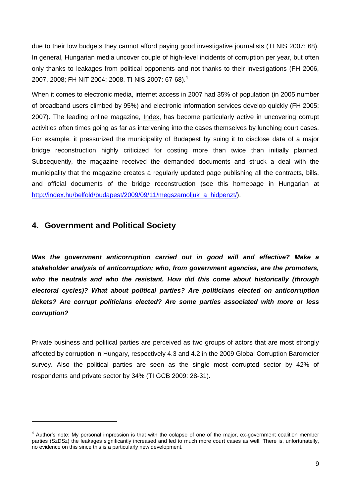due to their low budgets they cannot afford paying good investigative journalists (TI NIS 2007: 68). In general, Hungarian media uncover couple of high-level incidents of corruption per year, but often only thanks to leakages from political opponents and not thanks to their investigations (FH 2006, 2007, 2008; FH NIT 2004; 2008, TI NIS 2007: 67-68).<sup>4</sup>

When it comes to electronic media, internet access in 2007 had 35% of population (in 2005 number of broadband users climbed by 95%) and electronic information services develop quickly (FH 2005; 2007). The leading online magazine, Index, has become particularly active in uncovering corrupt activities often times going as far as intervening into the cases themselves by lunching court cases. For example, it pressurized the municipality of Budapest by suing it to disclose data of a major bridge reconstruction highly criticized for costing more than twice than initially planned. Subsequently, the magazine received the demanded documents and struck a deal with the municipality that the magazine creates a regularly updated page publishing all the contracts, bills, and official documents of the bridge reconstruction (see this homepage in Hungarian at [http://index.hu/belfold/budapest/2009/09/11/megszamoljuk\\_a\\_hidpenzt/\)](http://index.hu/belfold/budapest/2009/09/11/megszamoljuk_a_hidpenzt/).

#### <span id="page-8-0"></span>**4. Government and Political Society**

-

Was the government anticorruption carried out in good will and effective? Make a *stakeholder analysis of anticorruption; who, from government agencies, are the promoters, who the neutrals and who the resistant. How did this come about historically (through electoral cycles)? What about political parties? Are politicians elected on anticorruption tickets? Are corrupt politicians elected? Are some parties associated with more or less corruption?*

Private business and political parties are perceived as two groups of actors that are most strongly affected by corruption in Hungary, respectively 4.3 and 4.2 in the 2009 Global Corruption Barometer survey. Also the political parties are seen as the single most corrupted sector by 42% of respondents and private sector by 34% (TI GCB 2009: 28-31).

<sup>&</sup>lt;sup>4</sup> Author's note: My personal impression is that with the colapse of one of the major, ex-government coalition member parties (SzDSz) the leakages significantly increased and led to much more court cases as well. There is, unfortunatelly, no evidence on this since this is a particularly new development.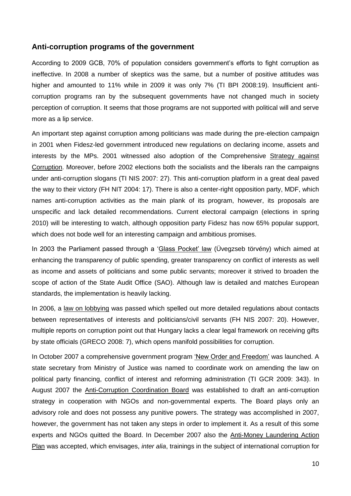#### <span id="page-9-0"></span>**Anti-corruption programs of the government**

According to 2009 GCB, 70% of population considers government's efforts to fight corruption as ineffective. In 2008 a number of skeptics was the same, but a number of positive attitudes was higher and amounted to 11% while in 2009 it was only 7% (TI BPI 2008:19). Insufficient anticorruption programs ran by the subsequent governments have not changed much in society perception of corruption. It seems that those programs are not supported with political will and serve more as a lip service.

An important step against corruption among politicians was made during the pre-election campaign in 2001 when Fidesz-led government introduced new regulations on declaring income, assets and interests by the MPs. 2001 witnessed also adoption of the Comprehensive Strategy against Corruption. Moreover, before 2002 elections both the socialists and the liberals ran the campaigns under anti-corruption slogans (TI NIS 2007: 27). This anti-corruption platform in a great deal paved the way to their victory (FH NIT 2004: 17). There is also a center-right opposition party, MDF, which names anti-corruption activities as the main plank of its program, however, its proposals are unspecific and lack detailed recommendations. Current electoral campaign (elections in spring 2010) will be interesting to watch, although opposition party Fidesz has now 65% popular support, which does not bode well for an interesting campaign and ambitious promises.

In 2003 the Parliament passed through a 'Glass Pocket' law (Üvegzseb törvény) which aimed at enhancing the transparency of public spending, greater transparency on conflict of interests as well as income and assets of politicians and some public servants; moreover it strived to broaden the scope of action of the State Audit Office (SAO). Although law is detailed and matches European standards, the implementation is heavily lacking.

In 2006, a law on lobbying was passed which spelled out more detailed regulations about contacts between representatives of interests and politicians/civil servants (FH NIS 2007: 20). However, multiple reports on corruption point out that Hungary lacks a clear legal framework on receiving gifts by state officials (GRECO 2008: 7), which opens manifold possibilities for corruption.

In October 2007 a comprehensive government program 'New Order and Freedom' was launched. A state secretary from Ministry of Justice was named to coordinate work on amending the law on political party financing, conflict of interest and reforming administration (TI GCR 2009: 343). In August 2007 the Anti-Corruption Coordination Board was established to draft an anti-corruption strategy in cooperation with NGOs and non-governmental experts. The Board plays only an advisory role and does not possess any punitive powers. The strategy was accomplished in 2007, however, the government has not taken any steps in order to implement it. As a result of this some experts and NGOs quitted the Board. In December 2007 also the Anti-Money Laundering Action Plan was accepted, which envisages, *inter alia*, trainings in the subject of international corruption for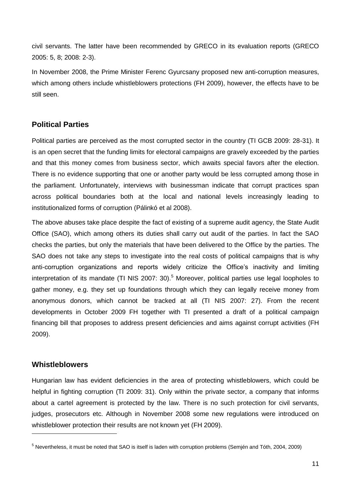civil servants. The latter have been recommended by GRECO in its evaluation reports (GRECO 2005: 5, 8; 2008: 2-3).

In November 2008, the Prime Minister Ferenc Gyurcsany proposed new anti-corruption measures, which among others include whistleblowers protections (FH 2009), however, the effects have to be still seen.

#### <span id="page-10-0"></span>**Political Parties**

Political parties are perceived as the most corrupted sector in the country (TI GCB 2009: 28-31). It is an open secret that the funding limits for electoral campaigns are gravely exceeded by the parties and that this money comes from business sector, which awaits special favors after the election. There is no evidence supporting that one or another party would be less corrupted among those in the parliament. Unfortunately, interviews with businessman indicate that corrupt practices span across political boundaries both at the local and national levels increasingly leading to institutionalized forms of corruption (Pálinkó et al 2008).

The above abuses take place despite the fact of existing of a supreme audit agency, the State Audit Office (SAO), which among others its duties shall carry out audit of the parties. In fact the SAO checks the parties, but only the materials that have been delivered to the Office by the parties. The SAO does not take any steps to investigate into the real costs of political campaigns that is why anti-corruption organizations and reports widely criticize the Office's inactivity and limiting interpretation of its mandate (TI NIS 2007: 30).<sup>5</sup> Moreover, political parties use legal loopholes to gather money, e.g. they set up foundations through which they can legally receive money from anonymous donors, which cannot be tracked at all (TI NIS 2007: 27). From the recent developments in October 2009 FH together with TI presented a draft of a political campaign financing bill that proposes to address present deficiencies and aims against corrupt activities (FH 2009).

## <span id="page-10-1"></span>**Whistleblowers**

-

Hungarian law has evident deficiencies in the area of protecting whistleblowers, which could be helpful in fighting corruption (TI 2009: 31). Only within the private sector, a company that informs about a cartel agreement is protected by the law. There is no such protection for civil servants, judges, prosecutors etc. Although in November 2008 some new regulations were introduced on whistleblower protection their results are not known yet (FH 2009).

<sup>5</sup> Nevertheless, it must be noted that SAO is itself is laden with corruption problems (Semjén and Tóth, 2004, 2009)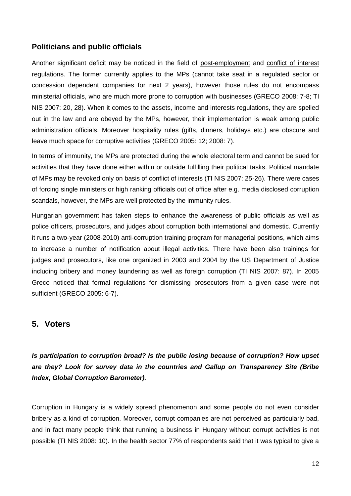## <span id="page-11-0"></span>**Politicians and public officials**

Another significant deficit may be noticed in the field of post-employment and conflict of interest regulations. The former currently applies to the MPs (cannot take seat in a regulated sector or concession dependent companies for next 2 years), however those rules do not encompass ministerial officials, who are much more prone to corruption with businesses (GRECO 2008: 7-8; TI NIS 2007: 20, 28). When it comes to the assets, income and interests regulations, they are spelled out in the law and are obeyed by the MPs, however, their implementation is weak among public administration officials. Moreover hospitality rules (gifts, dinners, holidays etc.) are obscure and leave much space for corruptive activities (GRECO 2005: 12; 2008: 7).

In terms of immunity, the MPs are protected during the whole electoral term and cannot be sued for activities that they have done either within or outside fulfilling their political tasks. Political mandate of MPs may be revoked only on basis of conflict of interests (TI NIS 2007: 25-26). There were cases of forcing single ministers or high ranking officials out of office after e.g. media disclosed corruption scandals, however, the MPs are well protected by the immunity rules.

Hungarian government has taken steps to enhance the awareness of public officials as well as police officers, prosecutors, and judges about corruption both international and domestic. Currently it runs a two-year (2008-2010) anti-corruption training program for managerial positions, which aims to increase a number of notification about illegal activities. There have been also trainings for judges and prosecutors, like one organized in 2003 and 2004 by the US Department of Justice including bribery and money laundering as well as foreign corruption (TI NIS 2007: 87). In 2005 Greco noticed that formal regulations for dismissing prosecutors from a given case were not sufficient (GRECO 2005: 6-7).

## <span id="page-11-1"></span>**5. Voters**

*Is participation to corruption broad? Is the public losing because of corruption? How upset are they? Look for survey data in the countries and Gallup on Transparency Site (Bribe Index, Global Corruption Barometer).* 

Corruption in Hungary is a widely spread phenomenon and some people do not even consider bribery as a kind of corruption. Moreover, corrupt companies are not perceived as particularly bad, and in fact many people think that running a business in Hungary without corrupt activities is not possible (TI NIS 2008: 10). In the health sector 77% of respondents said that it was typical to give a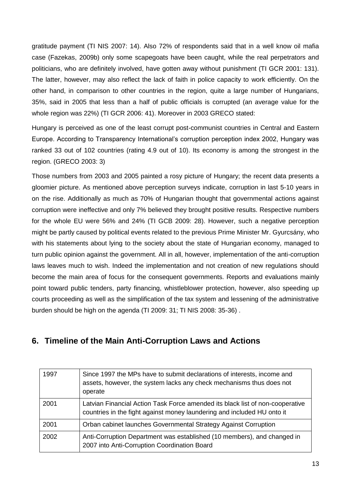gratitude payment (TI NIS 2007: 14). Also 72% of respondents said that in a well know oil mafia case (Fazekas, 2009b) only some scapegoats have been caught, while the real perpetrators and politicians, who are definitely involved, have gotten away without punishment (TI GCR 2001: 131). The latter, however, may also reflect the lack of faith in police capacity to work efficiently. On the other hand, in comparison to other countries in the region, quite a large number of Hungarians, 35%, said in 2005 that less than a half of public officials is corrupted (an average value for the whole region was 22%) (TI GCR 2006: 41). Moreover in 2003 GRECO stated:

Hungary is perceived as one of the least corrupt post-communist countries in Central and Eastern Europe. According to Transparency International's corruption perception index 2002, Hungary was ranked 33 out of 102 countries (rating 4.9 out of 10). Its economy is among the strongest in the region. (GRECO 2003: 3)

Those numbers from 2003 and 2005 painted a rosy picture of Hungary; the recent data presents a gloomier picture. As mentioned above perception surveys indicate, corruption in last 5-10 years in on the rise. Additionally as much as 70% of Hungarian thought that governmental actions against corruption were ineffective and only 7% believed they brought positive results. Respective numbers for the whole EU were 56% and 24% (TI GCB 2009: 28). However, such a negative perception might be partly caused by political events related to the previous Prime Minister Mr. Gyurcsány, who with his statements about lying to the society about the state of Hungarian economy, managed to turn public opinion against the government. All in all, however, implementation of the anti-corruption laws leaves much to wish. Indeed the implementation and not creation of new regulations should become the main area of focus for the consequent governments. Reports and evaluations mainly point toward public tenders, party financing, whistleblower protection, however, also speeding up courts proceeding as well as the simplification of the tax system and lessening of the administrative burden should be high on the agenda (TI 2009: 31; TI NIS 2008: 35-36) .

## <span id="page-12-0"></span>**6. Timeline of the Main Anti-Corruption Laws and Actions**

| 1997 | Since 1997 the MPs have to submit declarations of interests, income and<br>assets, however, the system lacks any check mechanisms thus does not<br>operate |
|------|------------------------------------------------------------------------------------------------------------------------------------------------------------|
| 2001 | Latvian Financial Action Task Force amended its black list of non-cooperative<br>countries in the fight against money laundering and included HU onto it   |
| 2001 | Orban cabinet launches Governmental Strategy Against Corruption                                                                                            |
| 2002 | Anti-Corruption Department was established (10 members), and changed in<br>2007 into Anti-Corruption Coordination Board                                    |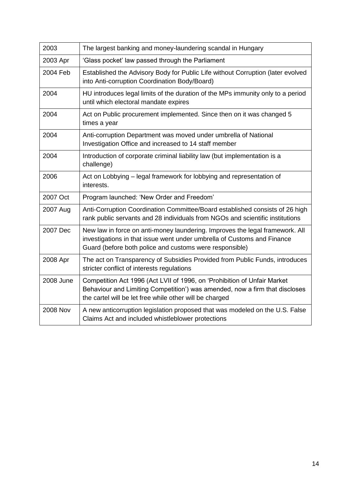| 2003            | The largest banking and money-laundering scandal in Hungary                                                                                                                                                        |  |  |
|-----------------|--------------------------------------------------------------------------------------------------------------------------------------------------------------------------------------------------------------------|--|--|
| 2003 Apr        | 'Glass pocket' law passed through the Parliament                                                                                                                                                                   |  |  |
| 2004 Feb        | Established the Advisory Body for Public Life without Corruption (later evolved<br>into Anti-corruption Coordination Body/Board)                                                                                   |  |  |
| 2004            | HU introduces legal limits of the duration of the MPs immunity only to a period<br>until which electoral mandate expires                                                                                           |  |  |
| 2004            | Act on Public procurement implemented. Since then on it was changed 5<br>times a year                                                                                                                              |  |  |
| 2004            | Anti-corruption Department was moved under umbrella of National<br>Investigation Office and increased to 14 staff member                                                                                           |  |  |
| 2004            | Introduction of corporate criminal liability law (but implementation is a<br>challenge)                                                                                                                            |  |  |
| 2006            | Act on Lobbying – legal framework for lobbying and representation of<br>interests.                                                                                                                                 |  |  |
| 2007 Oct        | Program launched: 'New Order and Freedom'                                                                                                                                                                          |  |  |
| 2007 Aug        | Anti-Corruption Coordination Committee/Board established consists of 26 high<br>rank public servants and 28 individuals from NGOs and scientific institutions                                                      |  |  |
| 2007 Dec        | New law in force on anti-money laundering. Improves the legal framework. All<br>investigations in that issue went under umbrella of Customs and Finance<br>Guard (before both police and customs were responsible) |  |  |
| 2008 Apr        | The act on Transparency of Subsidies Provided from Public Funds, introduces<br>stricter conflict of interests regulations                                                                                          |  |  |
| 2008 June       | Competition Act 1996 (Act LVII of 1996, on 'Prohibition of Unfair Market<br>Behaviour and Limiting Competition') was amended, now a firm that discloses<br>the cartel will be let free while other will be charged |  |  |
| <b>2008 Nov</b> | A new anticorruption legislation proposed that was modeled on the U.S. False<br>Claims Act and included whistleblower protections                                                                                  |  |  |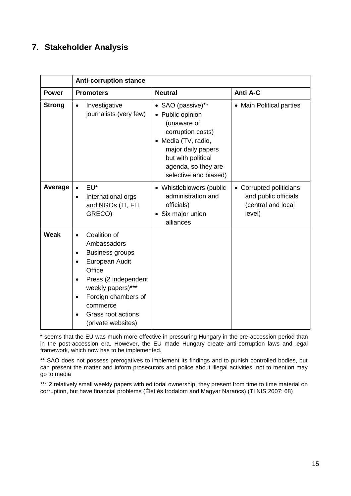# <span id="page-14-0"></span>**7. Stakeholder Analysis**

|               | <b>Anti-corruption stance</b>                                                                                                                                                                                                           |                                                                                                                                                                                              |                                                                                 |  |  |
|---------------|-----------------------------------------------------------------------------------------------------------------------------------------------------------------------------------------------------------------------------------------|----------------------------------------------------------------------------------------------------------------------------------------------------------------------------------------------|---------------------------------------------------------------------------------|--|--|
| <b>Power</b>  | <b>Promoters</b>                                                                                                                                                                                                                        | <b>Neutral</b>                                                                                                                                                                               | Anti A-C                                                                        |  |  |
| <b>Strong</b> | Investigative<br>$\bullet$<br>journalists (very few)                                                                                                                                                                                    | • SAO (passive)**<br>• Public opinion<br>(unaware of<br>corruption costs)<br>• Media (TV, radio,<br>major daily papers<br>but with political<br>agenda, so they are<br>selective and biased) | • Main Political parties                                                        |  |  |
| Average       | EU <sup>*</sup><br>International orgs<br>$\bullet$<br>and NGOs (TI, FH,<br>GRECO)                                                                                                                                                       | • Whistleblowers (public<br>administration and<br>officials)<br>• Six major union<br>alliances                                                                                               | • Corrupted politicians<br>and public officials<br>(central and local<br>level) |  |  |
| Weak          | Coalition of<br>Ambassadors<br><b>Business groups</b><br>$\bullet$<br>European Audit<br>Office<br>Press (2 independent<br>weekly papers)***<br>Foreign chambers of<br>$\bullet$<br>commerce<br>Grass root actions<br>(private websites) |                                                                                                                                                                                              |                                                                                 |  |  |

\* seems that the EU was much more effective in pressuring Hungary in the pre-accession period than in the post-accession era. However, the EU made Hungary create anti-corruption laws and legal framework, which now has to be implemented.

\*\* SAO does not possess prerogatives to implement its findings and to punish controlled bodies, but can present the matter and inform prosecutors and police about illegal activities, not to mention may go to media

\*\*\* 2 relatively small weekly papers with editorial ownership, they present from time to time material on corruption, but have financial problems (Élet és Irodalom and Magyar Narancs) (TI NIS 2007: 68)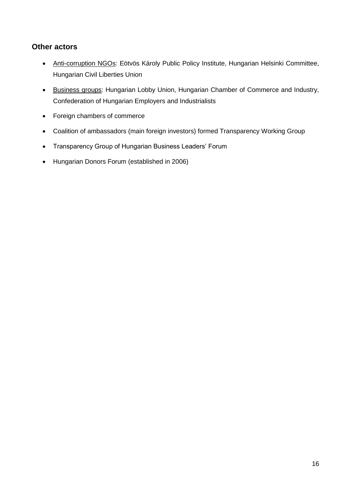## <span id="page-15-0"></span>**Other actors**

- Anti-corruption NGOs: Eötvös Károly Public Policy Institute, Hungarian Helsinki Committee, Hungarian Civil Liberties Union
- Business groups: Hungarian Lobby Union, Hungarian Chamber of Commerce and Industry, Confederation of Hungarian Employers and Industrialists
- Foreign chambers of commerce
- Coalition of ambassadors (main foreign investors) formed Transparency Working Group
- Transparency Group of Hungarian Business Leaders' Forum
- Hungarian Donors Forum (established in 2006)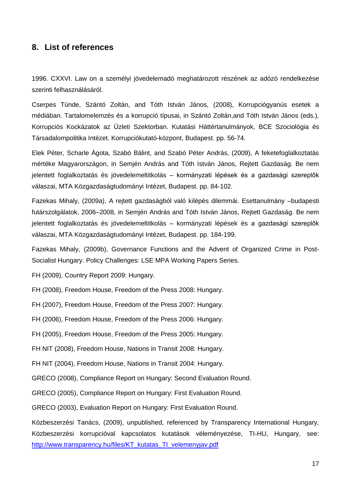#### <span id="page-16-0"></span>**8. List of references**

1996. CXXVI. Law on a személyi jövedelemadó meghatározott részének az adózó rendelkezése szerinti felhasználásáról.

Cserpes Tünde, Szántó Zoltán, and Tóth István János, (2008), Korrupciógyanús esetek a médiában. Tartalomelemzés és a korrupció típusai, in Szántó Zoltán,and Tóth István János (eds.), Korrupciós Kockázatok az Üzleti Szektorban. Kutatási Háttértanulmányok, BCE Szociológia és Társadalompolitika Intézet. Korrupciókutató-központ, Budapest. pp. 56-74.

Elek Péter, Scharle Ágota, Szabó Bálint, and Szabó Péter András, (2009), A feketefoglalkoztatás mértéke Magyarországon, in Semjén András and Tóth István János, Rejtett Gazdaság. Be nem jelentett foglalkoztatás és jövedelemeltitkolás – kormányzati lépések és a gazdasági szereplők válaszai, MTA Közgazdaságtudományi Intézet, Budapest. pp. 84-102.

Fazekas Mihaly, (2009a), A rejtett gazdaságból való kilépés dilemmái. Esettanulmány –budapesti futárszolgálatok, 2006–2008, in Semjén András and Tóth István János, Rejtett Gazdaság. Be nem jelentett foglalkoztatás és jövedelemeltitkolás – kormányzati lépések és a gazdasági szereplők válaszai, MTA Közgazdaságtudományi Intézet, Budapest. pp. 184-199.

Fazekas Mihaly, (2009b), Governance Functions and the Advent of Organized Crime in Post-Socialist Hungary. Policy Challenges: LSE MPA Working Papers Series.

FH (2009), Country Report 2009: Hungary.

FH (2008), Freedom House, Freedom of the Press 2008: Hungary.

FH (2007), Freedom House, Freedom of the Press 2007: Hungary.

FH (2006), Freedom House, Freedom of the Press 2006: Hungary.

FH (2005), Freedom House, Freedom of the Press 2005: Hungary.

FH NIT (2008), Freedom House, Nations in Transit 2008: Hungary.

FH NIT (2004), Freedom House, Nations in Transit 2004: Hungary.

GRECO (2008), Compliance Report on Hungary: Second Evaluation Round.

GRECO (2005), Compliance Report on Hungary: First Evaluation Round.

GRECO (2003), Evaluation Report on Hungary: First Evaluation Round.

Közbeszerzési Tanács, (2009), unpublished, referenced by Transparency International Hungary, Közbeszerzési korrupcióval kapcsolatos kutatások véleményezése, TI-HU, Hungary, see: [http://www.transparency.hu/files/KT\\_kutatas\\_TI\\_velemenyjav.pdf](http://www.transparency.hu/files/KT_kutatas_TI_velemenyjav.pdf)